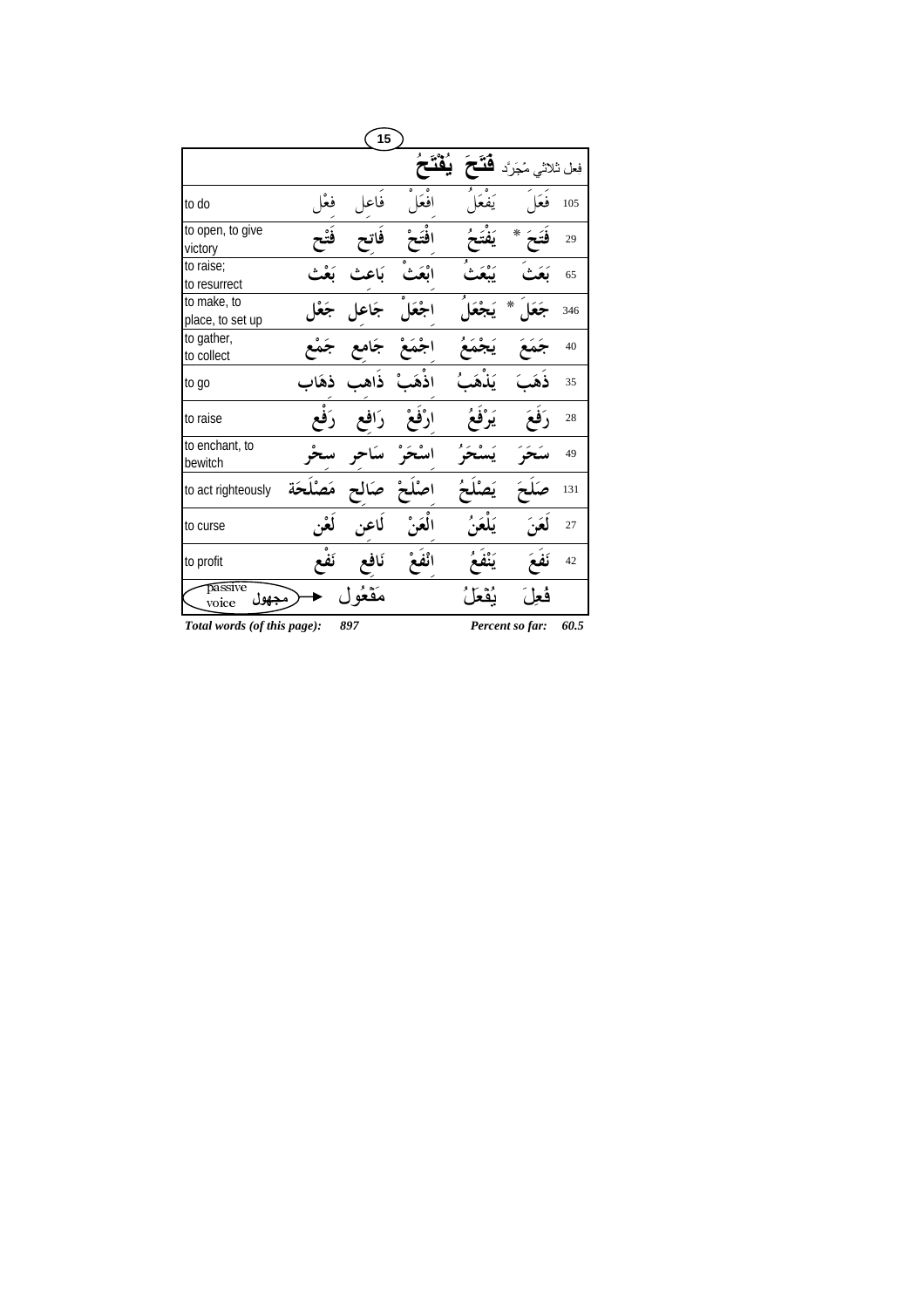|                                 |       | 15   |            |           |                         |     |
|---------------------------------|-------|------|------------|-----------|-------------------------|-----|
|                                 |       |      | ٷ<br>وحامة | <u>،۹</u> | فِعْل ثْلاَثْي مُجَرَّد |     |
| to do                           | فعا   | فاعل | ۰<br>افعًا |           | فعا                     | 105 |
| to open, to give<br>victory     |       |      |            |           |                         | 29  |
| to raise;<br>to resurrect       |       | بَاء |            |           |                         | 65  |
| to make, to<br>place, to set up | جُع   | جاعا | احْعَا     |           | ⋇                       | 346 |
| to gather,<br>to collect        |       | جَا  |            |           |                         | 40  |
| to go                           | ذهَاب | ذاه  |            |           |                         | 35  |
| to raise                        |       |      |            |           |                         | 28  |
| to enchant, to<br>bewitch       |       | سَ   | اسحى       |           |                         | 49  |
| to act righteously              | لحَة  |      |            |           |                         | 131 |
| to curse                        |       |      |            |           |                         | 27  |
| to profit                       |       | نَاف |            |           |                         | 42  |
| passive<br>مجهول<br>voice       |       |      |            |           | فُعا                    |     |

*Total words (of this page): 897 Percent so far: 60.5*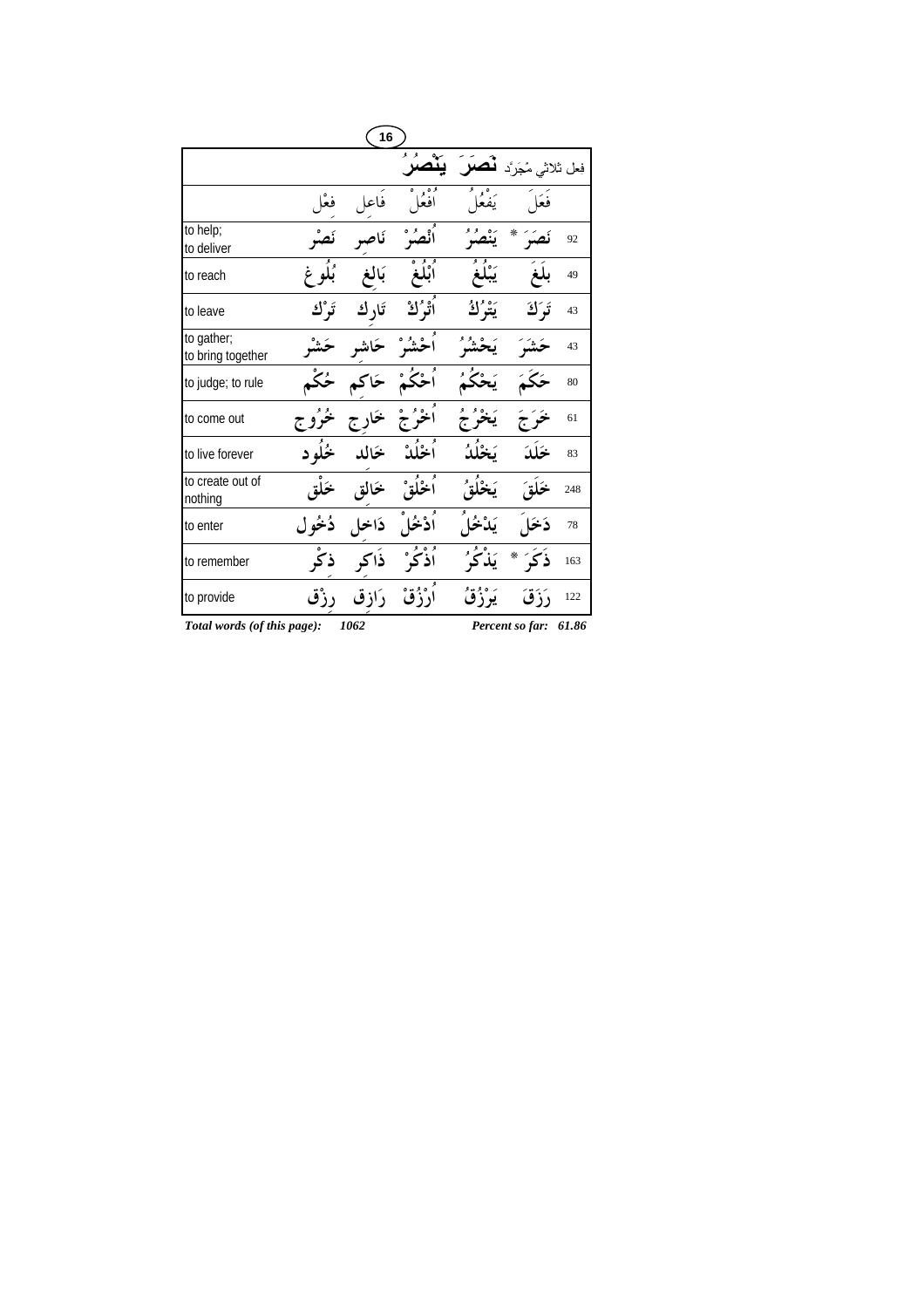|                                 |                                    | 16      |                                                                    |          |                                   |     |
|---------------------------------|------------------------------------|---------|--------------------------------------------------------------------|----------|-----------------------------------|-----|
|                                 |                                    |         | <b>g g</b><br>$\circ_\bullet\hspace{-1.5pt}\bullet\hspace{-1.5pt}$ |          | فِعل ثلاثي مُجَرَّد <b>لَمُصَ</b> |     |
|                                 | فعا                                | فاعل    | ره<br>افغا                                                         |          | فعَا                              |     |
| to help;<br>to deliver          |                                    |         |                                                                    |          | ∗                                 | 92  |
| to reach                        |                                    | بَالغ   |                                                                    |          |                                   | 49  |
| to leave                        | تَوْْك                             | تَار ك  | ٱتْوُكُّ                                                           | يَتْرُكُ | تَوَكَّ                           | 43  |
| to gather;<br>to bring together |                                    |         |                                                                    |          |                                   | 43  |
| to judge; to rule               | ځکم                                | حَاكم   | أحْكَمْ                                                            |          | ځکمَ                              | 80  |
| to come out                     | خُرُوج                             | خَا     |                                                                    |          |                                   | 61  |
| to live forever                 | ځُله د                             | خالد    | أخْلَلْ                                                            |          | خلدَ                              | 83  |
| to create out of<br>nothing     | خلق                                | خمالق   | أخْلَقْ                                                            |          | خَلَقَ                            | 248 |
| to enter                        | دُخُول                             | دَاخل   |                                                                    | يَلْ∸    | ذخا                               | 78  |
| to remember                     | ذکْ                                | ذاكه    | ٱذْكُ                                                              |          | ₩<br>ذكرَ                         | 163 |
| to provide                      | رزٌق<br>Total model of this model. | رَازِ ق | أرْزُقْ                                                            | يَرْزُقُ | رَزَق                             | 122 |

Percent so far: 61.86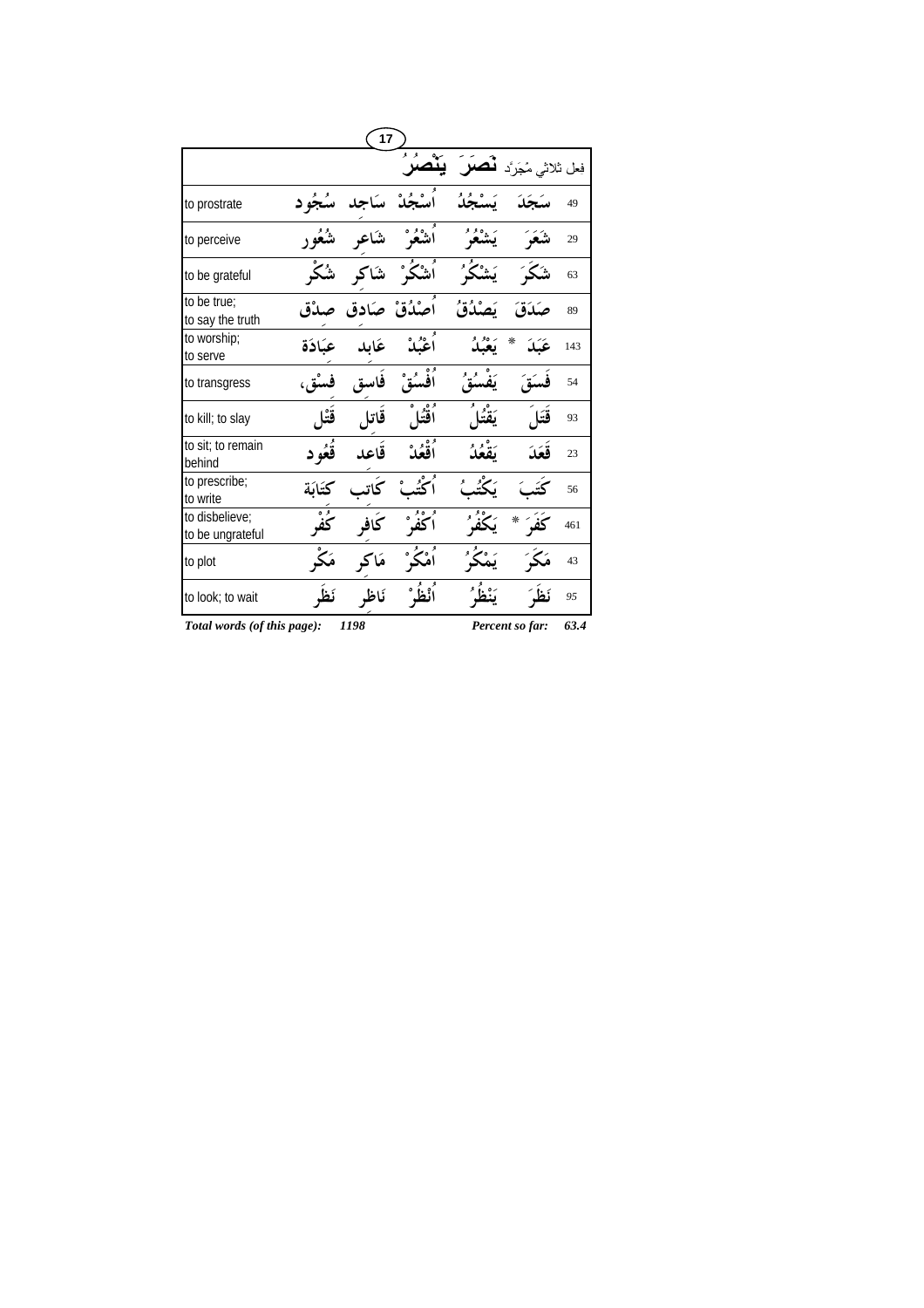|                                    |           | 17                   |          |             |                                                 |     |
|------------------------------------|-----------|----------------------|----------|-------------|-------------------------------------------------|-----|
|                                    |           |                      | ġ.<br>ۅ  |             | فِعْل ثْلاَثْنِي مُجَرَّدٍ ۚ <b>لْمُصَلَ</b> رَ |     |
| to prostrate                       | سُجُه د   | ساجد                 | ٱسْجُدْ  | يَسْجُدُ    | سَجَدَ                                          | 49  |
| to perceive                        |           | ىشاعى ىشُعُور        | اشعُوْ   | يشعر        | شَعَرَ                                          | 29  |
| to be grateful                     |           | اُشْكُرْ شَاكر شُكْر |          | ۑؘۺٛػؙۯ     | شکَ                                             | 63  |
| to be true;<br>to say the truth    |           | أصْدُقْ صَادق صِدْق  |          | بَصْدُقُ    | صكدّة أ                                         | 89  |
| to worship;<br>to serve            | عبَادَة   | عَابِد               | أعْبُدْ  | ر ه<br>يعبر | ⋇<br>عَبَدَ                                     | 143 |
| to transgress                      |           | فَاسق فسْق،          | ٱفْسُقْ  | يَفْسُقُ    | فستق                                            | 54  |
| to kill; to slay                   | قَتْل     | قَاتل                | أقْتَا ً | بَقْتُا     | قَتَلَ                                          | 93  |
| to sit; to remain<br>behind        | ۔ قُعُو د | قَاعِد               | ٱقْعُدْ  | تقعُدُ      | قَعَدَ                                          | 23  |
| to prescribe;<br>to write          | كتائة     | كاتب                 |          | ݣْئْب       |                                                 | 56  |
| to disbelieve:<br>to be ungrateful |           | كافي                 | ڭفُ      |             | ₩<br>كفى                                        | 461 |
| to plot                            | مَکَّ     | مَاكُم               | أمْكَى   | يَمْكَ      | مَکَ                                            | 43  |
| to look; to wait                   | ئظ        | ناظه                 |          |             |                                                 | 95  |

Percent so far: 63.4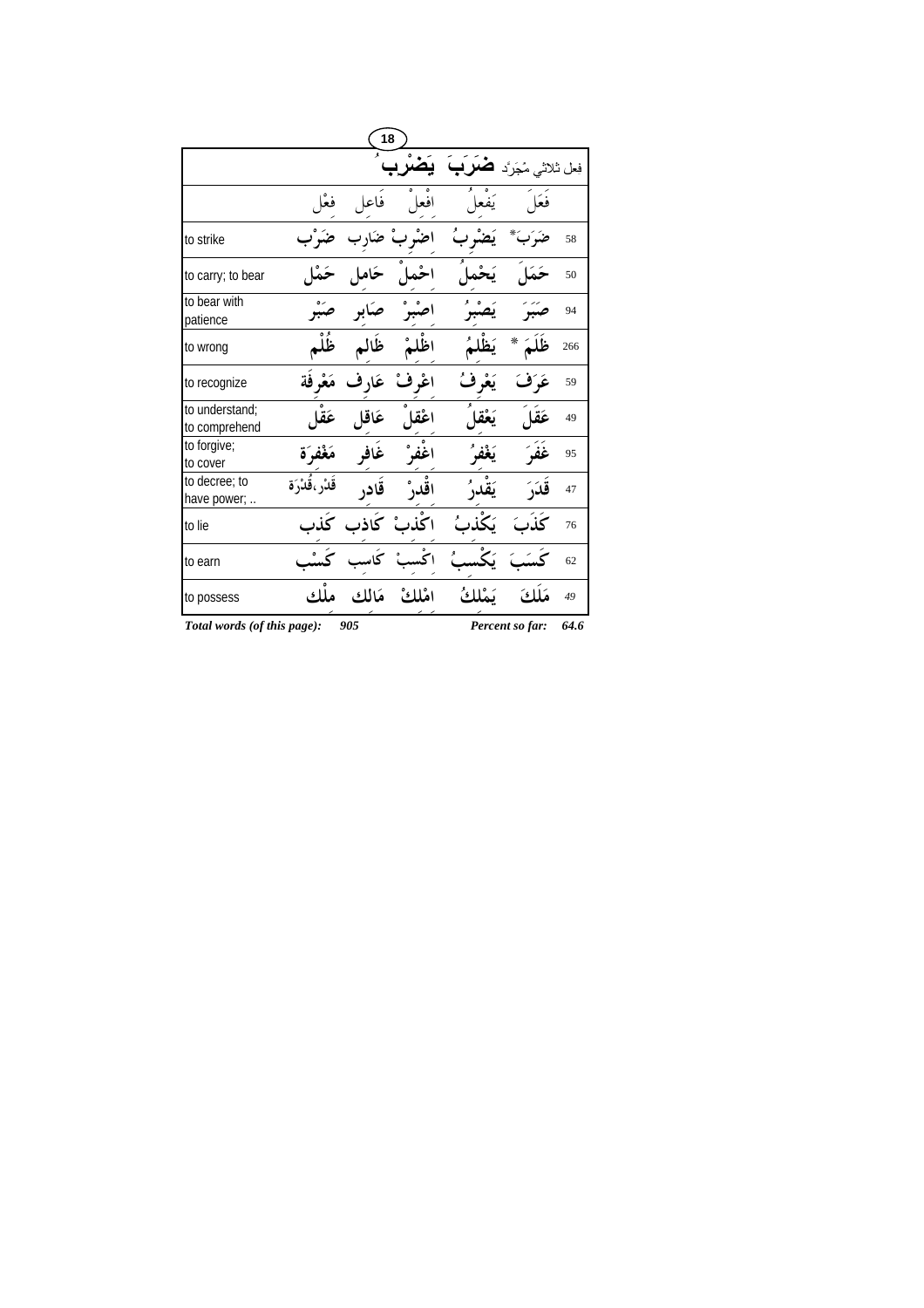|                                 |                 | 18                |         |         |                         |      |
|---------------------------------|-----------------|-------------------|---------|---------|-------------------------|------|
|                                 |                 |                   |         |         | فِعْل ثْلاَثْي مُجَرَّد |      |
|                                 | فعا             | فاعل              | افعا    |         | فعَا                    |      |
| to strike                       |                 | ضاً               | . تُ    | ݣ       |                         | 58   |
| to carry; to bear               |                 | ځامل              | احْما   |         |                         | 50   |
| to bear with<br>patience        |                 |                   |         |         |                         | 94   |
| to wrong                        | ظُلْم           | ظالم              | اظلمْ   |         | ⋇                       | 266  |
| to recognize                    | مَعْ فَة        | عَار ف            | اڠ فْ   | يَعْرفُ | غ َ ف                   | 59   |
| to understand;<br>to comprehend | عَقا            | عَاقا             | اعْقا   | يَعْقا  | عَقا                    | 49   |
| to forgive;<br>to cover         | مَغْفَرَة       | غَافر             | اغفر°   | ىَغْفُ  |                         | 95   |
| to decree; to<br>have power;    | قَدْرٍ ،قُدْرَة | قَادر             | اقْدرْ  | يَقدرُ  | قذرَ                    | 47   |
| to lie                          |                 | اكْذبْ كَاذب كَذب |         | ىڭذى    | كذت                     | 76   |
| to earn                         |                 |                   |         |         |                         | 62   |
| to possess                      | ملْك            | مَالِك            | امْلِكْ | ىمْلِكُ | مَلَلا                  | 49   |
| Total words (of this page):     |                 | 905               |         |         | Percent so far:         | 64.6 |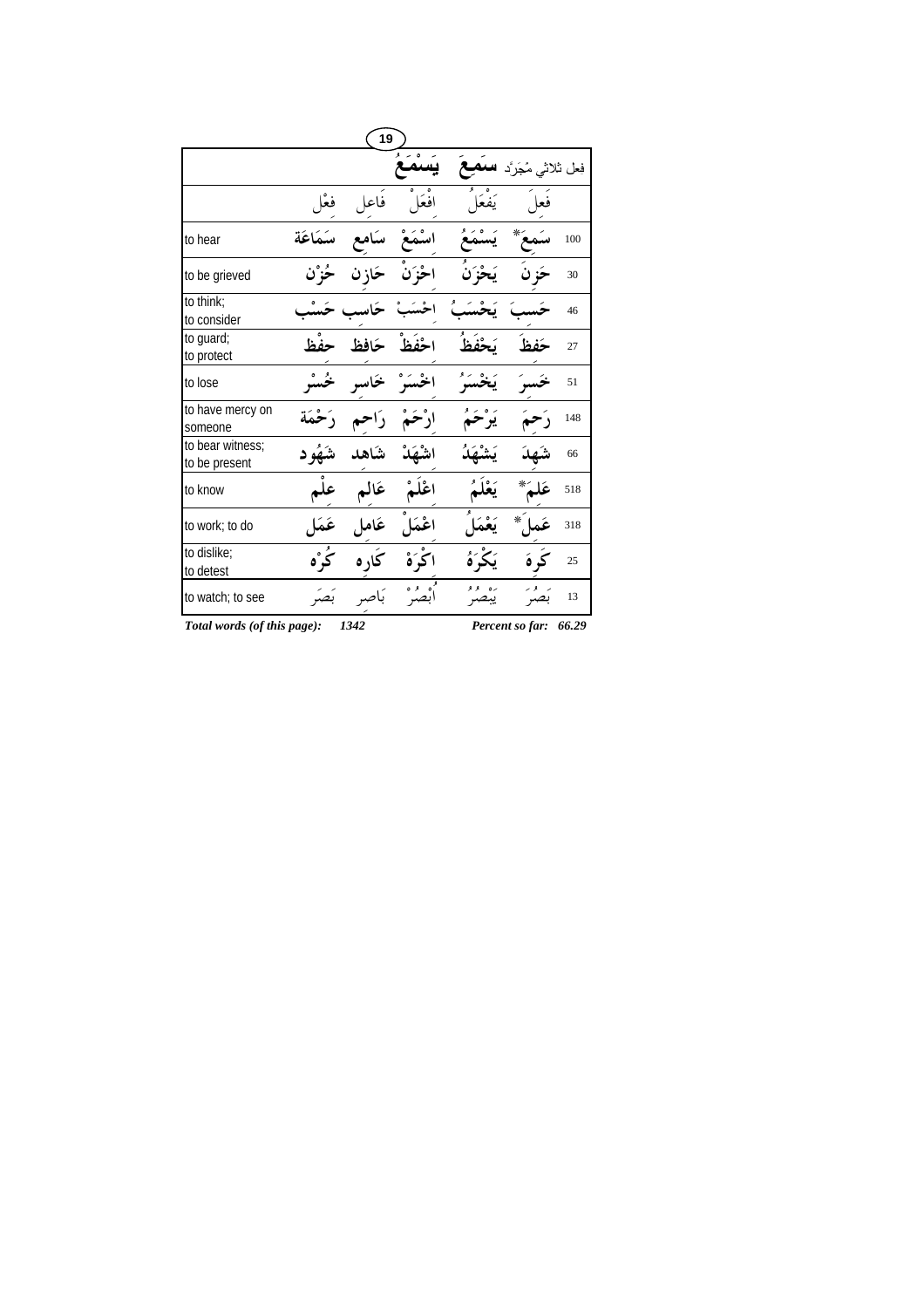|                                   |                        | 19                      |         |       |                                        |     |
|-----------------------------------|------------------------|-------------------------|---------|-------|----------------------------------------|-----|
|                                   |                        |                         |         |       | فِعل ثلاثى مُجَرَّد ۚ لِ <b>مُعْكِ</b> |     |
|                                   |                        | فَاعل فعْل              | افْعَل  | يفعًا | فعا                                    |     |
| to hear                           | اسْمَعْ سَامع سَمَاعَة |                         |         |       | *′                                     | 100 |
| to be grieved                     | ځن"                    | ځازن                    | اځزَن   |       |                                        | 30  |
| to think;<br>to consider          | ځشه                    |                         |         |       |                                        | 46  |
| to guard;<br>to protect           | حفظ                    | حَافظ                   | احْفَظْ |       |                                        | 27  |
| to lose                           | خُمْسُہ                | اڅسَىرْ خَاسىر          |         | خسر   |                                        | 51  |
| to have mercy on<br>someone       |                        | ارْحَمْ رَاحِمْ رَحْمَة |         |       |                                        | 148 |
| to bear witness;<br>to be present | شَهُو د                | شاهد                    | اشْهَدْ |       | $\hat{\mathbf{u}}$                     | 66  |
| to know                           |                        | عَالَم علَم             | اعْلَمْ |       | *′                                     | 518 |
| to work; to do                    | عَمَ                   | عَاما                   | اعْمَل  |       | ⋇                                      | 318 |
| to dislike;<br>to detest          |                        |                         |         |       |                                        | 25  |
| to watch; to see                  | بَصَدَ                 | بَاد                    |         |       |                                        | 13  |

Percent so far: 66.29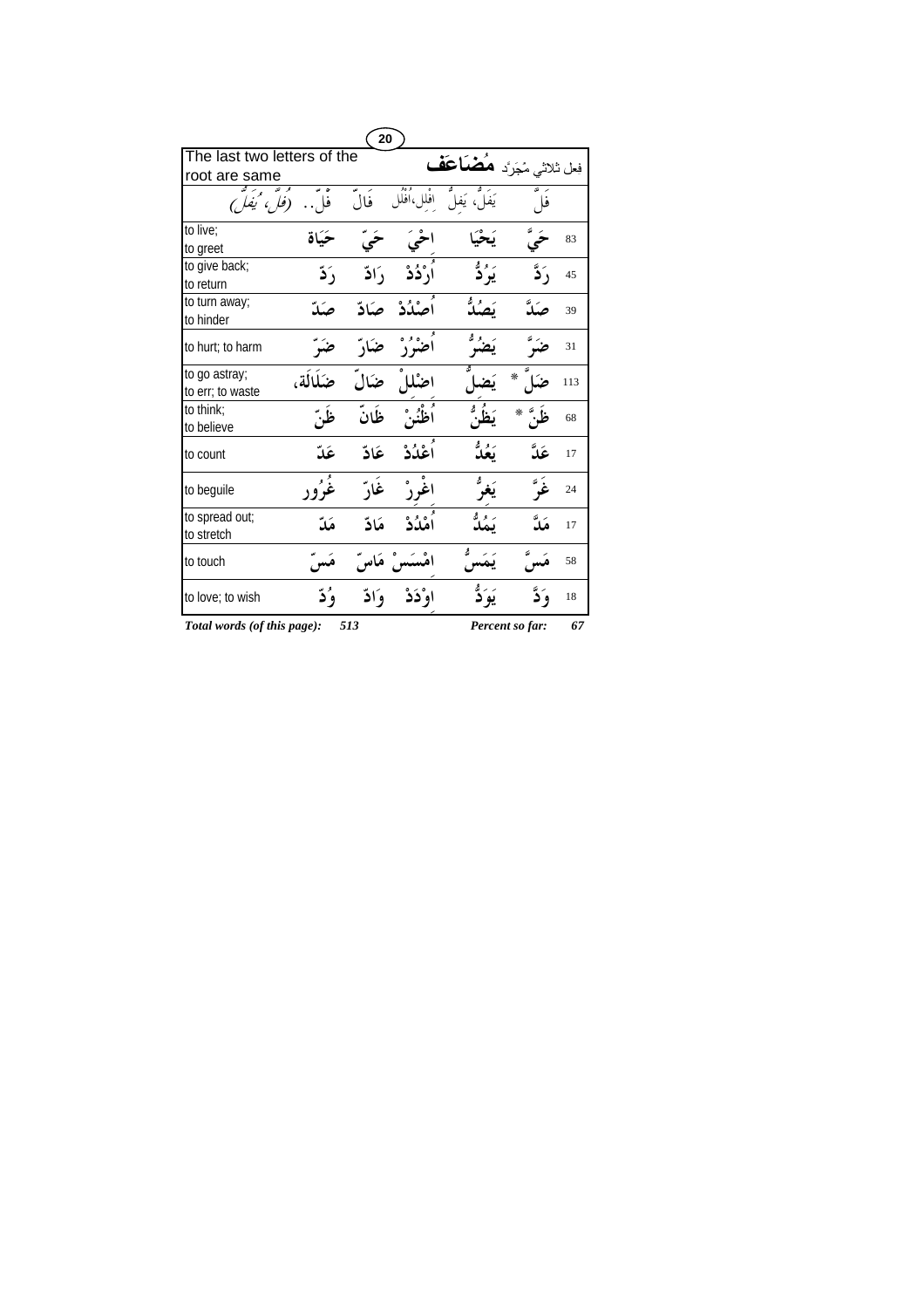|                                   |           | 20              |              |                                     |       |     |
|-----------------------------------|-----------|-----------------|--------------|-------------------------------------|-------|-----|
| The last two letters of the       |           |                 |              | فِعْل ثْلاثي مُجَرَّد ۚ هُضْمَاعَفْ |       |     |
| root are same                     |           |                 | از 10        |                                     |       |     |
| (فل) 'يفل                         | فل. .     | فال             | افلل،افلل    | يَفلَ، يَفل                         |       |     |
| to live;<br>to greet              | حَيَاة    |                 |              |                                     |       | 83  |
| to give back;<br>to return        | دٌ ڏ      | رَ ادّ          | اُرْ ڈڈ      | يَرُدُّ                             | , ًدٌ | 45  |
| to turn away;<br>to hinder        | صكدٌ      | صکاڈ            | أصْدُدْ      | ىَصْدُّ                             |       | 39  |
| to hurt; to harm                  | ضَبَ      | ضكار            | أضوٌرٌ       |                                     |       | 31  |
| to go astray;<br>to err; to waste | ضَلَالَة، | ضال             | اضْلل        |                                     | ⋇     | 113 |
| to think:<br>to believe           | ظب        | ظَانَ           | أظُنُهُ      |                                     |       | 68  |
| to count                          | عَدّ      | <b>عَاد</b> ّ   | أعْدُدْ      | روه<br>تعك                          | عَدٌ  | 17  |
| to beguile                        | غُرُور    | غارً            | اغرڻ         |                                     |       | 24  |
| to spread out;<br>to stretch      | مَدّ      | مَادِّ          | اُمْلُدْ     |                                     | مَدَّ | 17  |
| to touch                          |           |                 | امْسَسْ مَاس | يمس                                 |       | 58  |
| to love; to wish                  | ۇ د       | وَادِّ          | اوْدَدْ      | يَوَ دُّ                            |       | 18  |
| Total words (of this page):       |           | Percent so far: | 67           |                                     |       |     |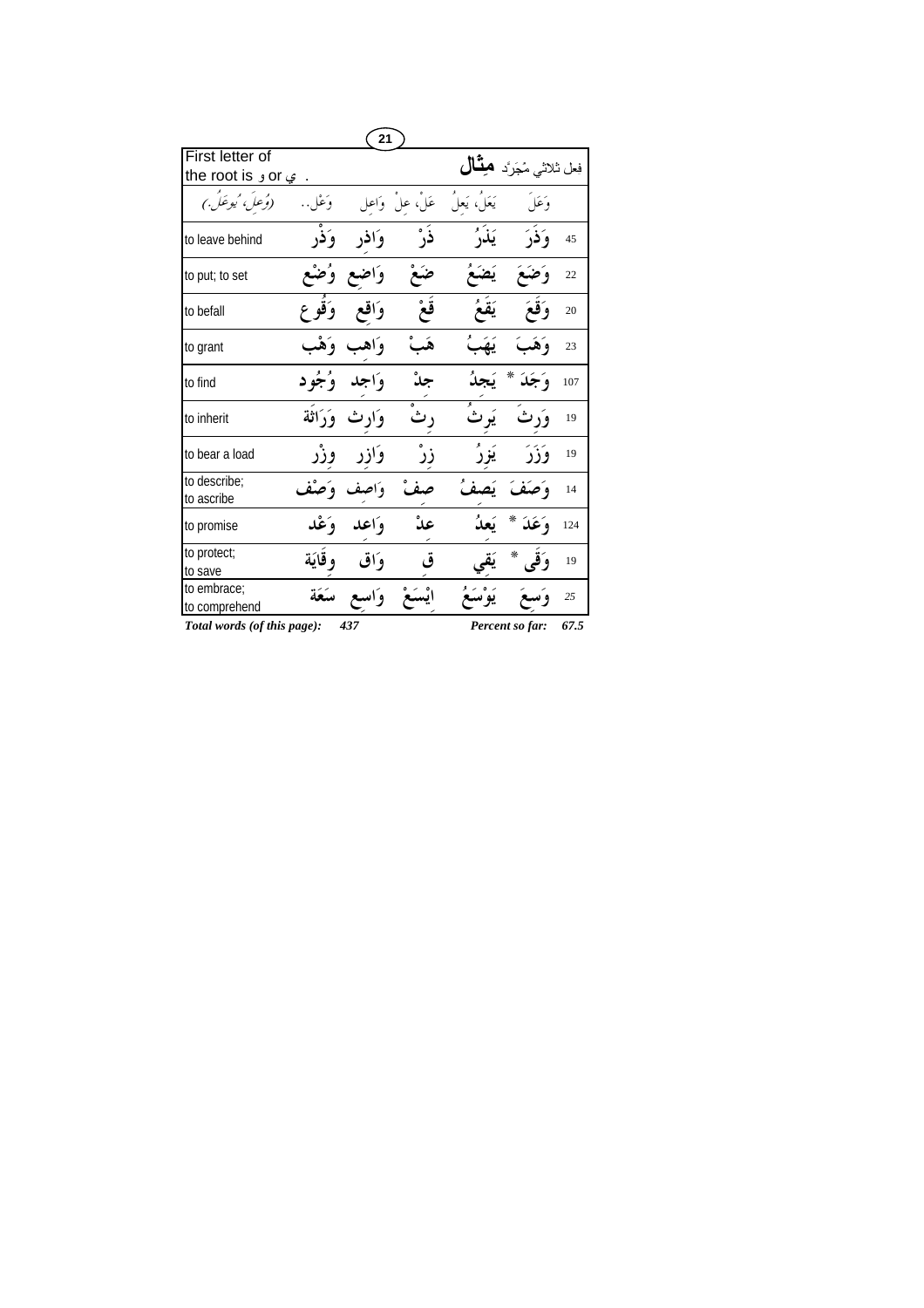|                                      |               | 21                  |                 |               |                                   |      |
|--------------------------------------|---------------|---------------------|-----------------|---------------|-----------------------------------|------|
| First letter of                      |               |                     |                 |               | فِعل ثلاثي مُجَرَّد <b>هشَّال</b> |      |
| the root is ی $\mathfrak{o}$ r و the |               |                     |                 |               |                                   |      |
| (وُعِلَ، 'ُيوعَلَ.)                  | وَعْل         |                     | عَلْ، علْ وَاعل | يَعَلُ، يَعلُ | وَعَلَ                            |      |
| to leave behind                      |               | وَافر وَفْر         | ڏَرُ            | يَلْأَرُ      | وَذَرَ                            | 45   |
| to put; to set                       |               | وَاضع وُضْع         | ضَعٌ            |               | وَضَعَ یَضَعُ                     | 22   |
| to befall                            |               | وَاقع وَقُوع        | قَعْ            | يَقَعُ        | وَقَعَ                            | 20   |
| to grant                             |               | وَاهب وَهْب         | هَٮْ            | يَهَبُ        | وَهَبَ                            | 23   |
| to find                              | وَاجِد وُجُود |                     |                 | يَجدُ         | $*$                               | 107  |
| to inherit                           |               | وَارث وَرَاثَة      |                 | يَو ٿُ        | وَر ث                             | 19   |
| to bear a load                       |               | وَازر وزْر          | ز ر°            |               | وَزَرَ                            | 19   |
| to describe;<br>to ascribe           | واصف وَصْف    |                     | ﯩﻔ              |               | وَصَفَ يَصِفُ                     | 14   |
| to promise                           |               | وَاعله وَعْله       |                 |               | $\ast$<br>وَعَدَ                  | 124  |
| to protect;<br>to save               |               | وَاق وقَايَة        | ق               | يَقح          | $*$<br>وَقِي                      | 19   |
| to embrace;<br>to comprehend         |               | ايْسَعْ وَاسع سَعَة |                 | يَوْسَعُ      | و س                               | 25   |
| Total words (of this page):          |               | 437                 |                 |               | Percent so far:                   | 67.5 |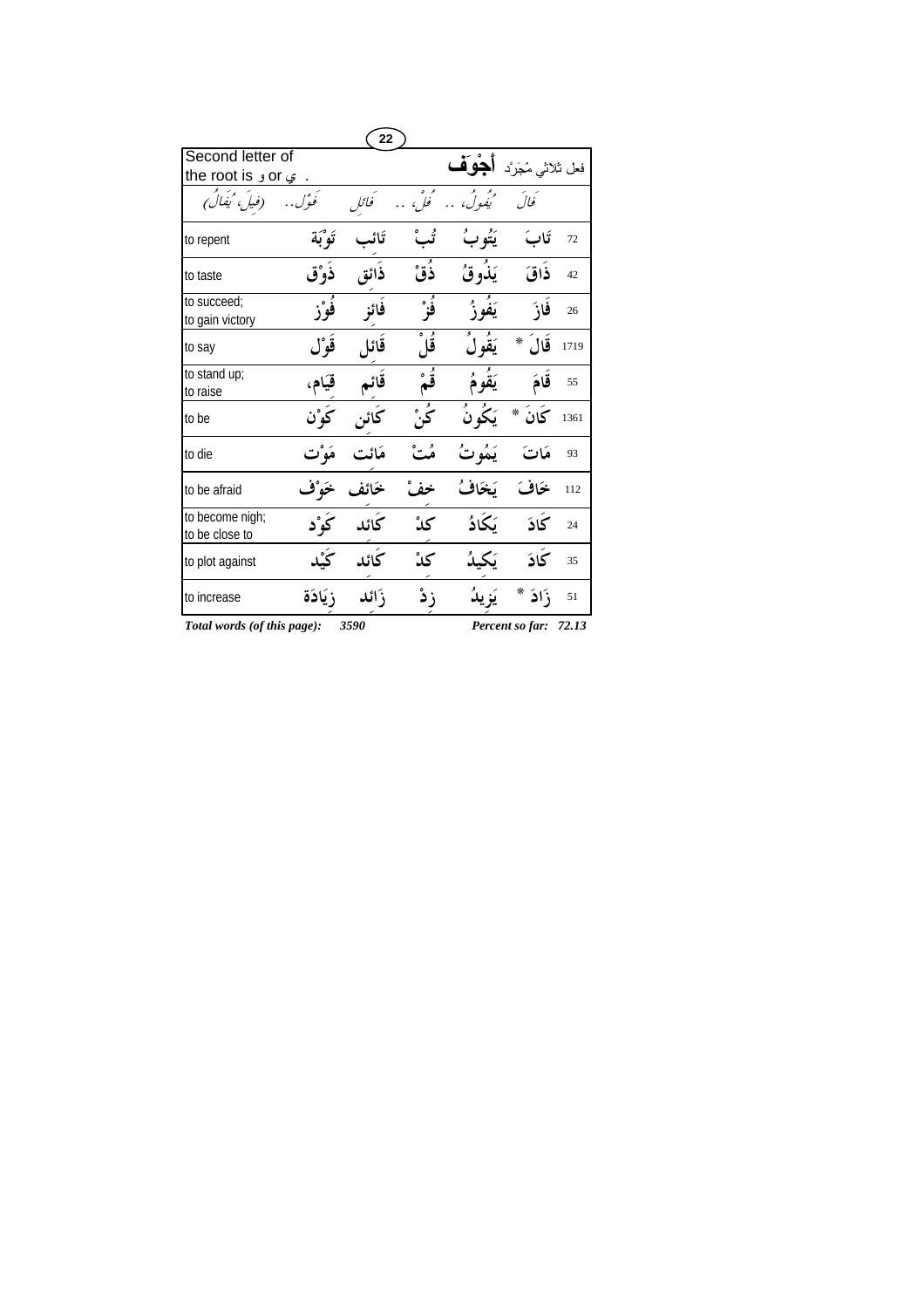|                                              |           | 22    |            |             |                                        |       |
|----------------------------------------------|-----------|-------|------------|-------------|----------------------------------------|-------|
| Second letter of                             |           |       |            |             | فِعل ثلاثي مُجَرَّد <b>الْجِلُوَفُ</b> |       |
| the root is $\mathfrak v$ or $\mathfrak c$ . |           |       |            |             |                                        |       |
| (فيلُ، 'يَفَالُ)                             | َفَوْل. . | فائل  | ه ه<br>فلء | .<br>نيفوڭ، | كَفالَ                                 |       |
| to repent                                    | تَوْبَة   | تَائ  |            | يَتُوبُ     | تَابَ                                  | 72    |
| to taste                                     | ذوْق      | ذائق  | ذَقْ       | يَذُوقُ     | ذاق                                    | 42    |
| to succeed;<br>to gain victory               |           | فائز  | ۏ۫ۯ        | يَفُو؟ُ     | فازَ                                   | 26    |
| to say                                       | قوْل      | قَائل | ڦاڻُ       | يَقُولُ     | قالَ<br>⋇                              | 1719  |
| to stand up;<br>to raise                     | قيَام،    | قَائم | قُمْ       | يَقُومُ     | قامَ                                   | 55    |
| to be                                        | كَهْ ن    |       | تخُنْ      | يَكُونُ     | كَانَ *                                | 1361  |
| to die                                       |           |       | مُتْ       | يَمُوتُ     | مَاتَ                                  | 93    |
| to be afraid                                 |           | خمائف | خف         | يَخَافُ     | خاف                                    | 112   |
| to become nigh;<br>to be close to            |           | كائد  | كدْ        | ىكَادُ      | كَادَ                                  | 24    |
| to plot against                              |           |       | کدْ        |             | كَادَ                                  | 35    |
| to increase                                  | زيَادَة   | زَائد | زڈ         |             | ⋇<br>ذاذ                               | 51    |
| Total words (of this page):                  |           | 3590  |            |             | Percent so far:                        | 72.13 |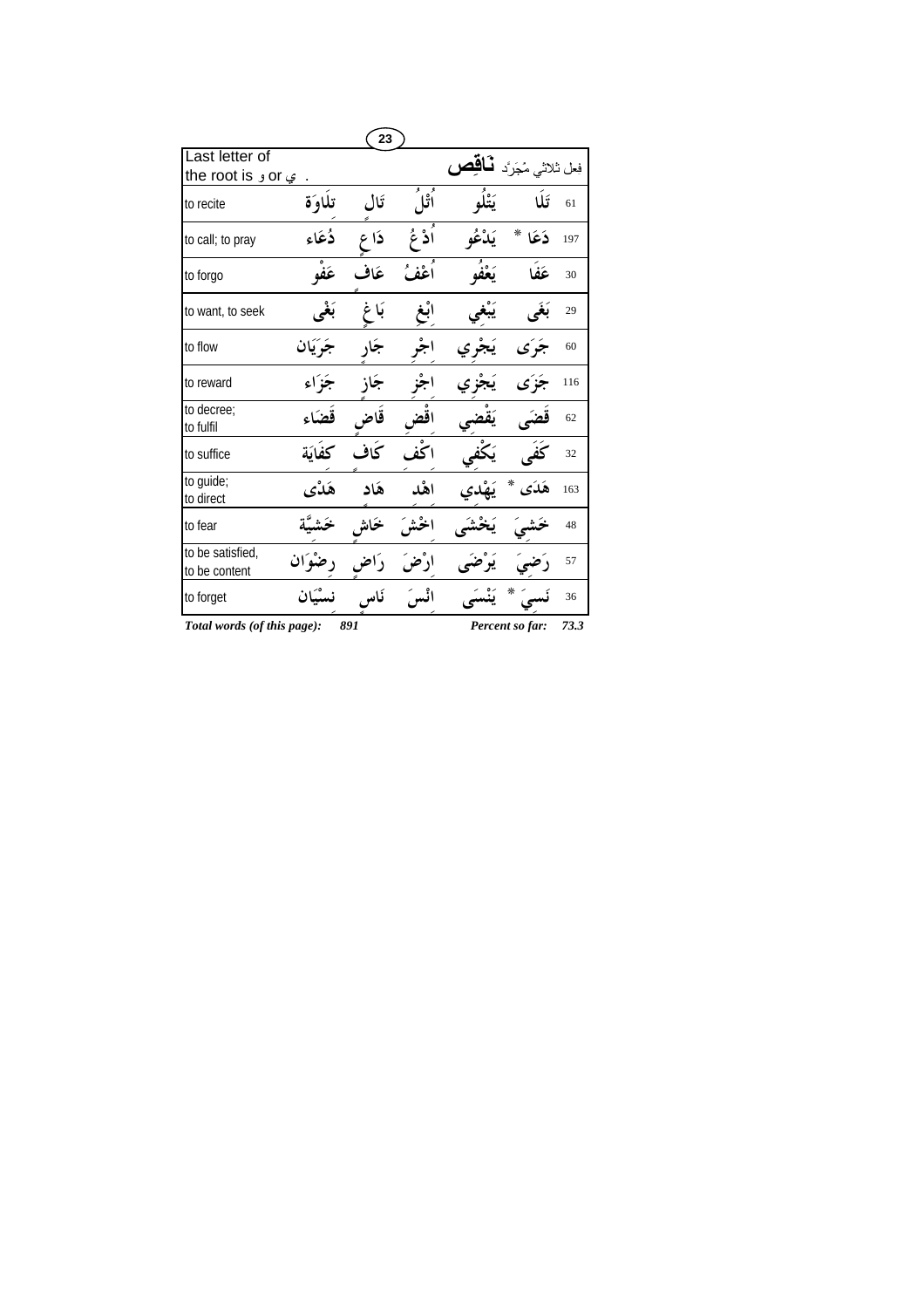|                                                       |          | 23    |        |         |                                      |      |
|-------------------------------------------------------|----------|-------|--------|---------|--------------------------------------|------|
| Last letter of                                        |          |       |        |         | فِعل ثلاثي مُجَرَّد <b>لْمَاقِصِ</b> |      |
| ي or و the root is                                    |          |       |        |         |                                      |      |
| to recite                                             | تلَاوَة  | تَال  | أَقَلَ | یَتْلُه | تَلَا                                | 61   |
| to call; to pray                                      | ڏُعَاءِ  | دًا ع | اڈ عُ  | يَدْعُو | ⋇<br>ذَعَا                           | 197  |
| to forgo                                              | عَفه     | عَاف  | أغفه   | يَعْة   | عَفَا                                | 30   |
| to want, to seek                                      |          | بَا غ | أبغ    |         |                                      | 29   |
| to flow                                               | جَرَيَان |       |        |         |                                      | 60   |
| to reward                                             | جَزَ اءِ | جَاز  |        |         |                                      | 116  |
| to decree;<br>to fulfil                               | قضاء     | قاض   |        |         |                                      | 62   |
| to suffice                                            | كفائة    | كافر  | انخف   |         |                                      | 32   |
| to guide;<br>to direct                                | هَدْي    | هَاد  | اهْد   |         | ∗                                    | 163  |
| to fear                                               |          |       |        |         |                                      | 48   |
| to be satisfied,<br>to be content                     |          |       | ارْضَ  |         |                                      | 57   |
| to forget                                             |          | ئاس   | اٺسرَ  |         |                                      | 36   |
| Total words (of this page):<br>891<br>Percent so far: |          |       |        |         |                                      | 73.3 |